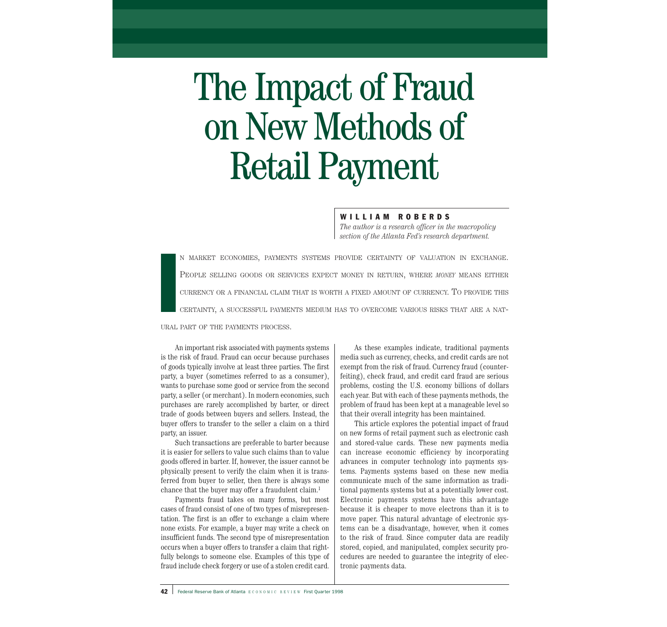# The Impact of Fraud on New Methods of Retail Payment

WILLIAM ROBERDS

*The author is a research officer in the macropolicy section of the Atlanta Fed's research department.*

I<br>I<br>I<br>I<br>I<br>I N MARKET ECONOMIES, PAYMENTS SYSTEMS PROVIDE CERTAINTY OF VALUATION IN EXCHANGE. PEOPLE SELLING GOODS OR SERVICES EXPECT MONEY IN RETURN, WHERE *MONEY* MEANS EITHER CURRENCY OR A FINANCIAL CLAIM THAT IS WORTH A FIXED AMOUNT OF CURRENCY. TO PROVIDE THIS CERTAINTY, A SUCCESSFUL PAYMENTS MEDIUM HAS TO OVERCOME VARIOUS RISKS THAT ARE A NAT-

URAL PART OF THE PAYMENTS PROCESS.

An important risk associated with payments systems is the risk of fraud. Fraud can occur because purchases of goods typically involve at least three parties. The first party, a buyer (sometimes referred to as a consumer), wants to purchase some good or service from the second party, a seller (or merchant). In modern economies, such purchases are rarely accomplished by barter, or direct trade of goods between buyers and sellers. Instead, the buyer offers to transfer to the seller a claim on a third party, an issuer.

Such transactions are preferable to barter because it is easier for sellers to value such claims than to value goods offered in barter. If, however, the issuer cannot be physically present to verify the claim when it is transferred from buyer to seller, then there is always some chance that the buyer may offer a fraudulent claim.<sup>1</sup>

Payments fraud takes on many forms, but most cases of fraud consist of one of two types of misrepresentation. The first is an offer to exchange a claim where none exists. For example, a buyer may write a check on insufficient funds. The second type of misrepresentation occurs when a buyer offers to transfer a claim that rightfully belongs to someone else. Examples of this type of fraud include check forgery or use of a stolen credit card.

As these examples indicate, traditional payments media such as currency, checks, and credit cards are not exempt from the risk of fraud. Currency fraud (counterfeiting), check fraud, and credit card fraud are serious problems, costing the U.S. economy billions of dollars each year. But with each of these payments methods, the problem of fraud has been kept at a manageable level so that their overall integrity has been maintained.

This article explores the potential impact of fraud on new forms of retail payment such as electronic cash and stored-value cards. These new payments media can increase economic efficiency by incorporating advances in computer technology into payments systems. Payments systems based on these new media communicate much of the same information as traditional payments systems but at a potentially lower cost. Electronic payments systems have this advantage because it is cheaper to move electrons than it is to move paper. This natural advantage of electronic systems can be a disadvantage, however, when it comes to the risk of fraud. Since computer data are readily stored, copied, and manipulated, complex security procedures are needed to guarantee the integrity of electronic payments data.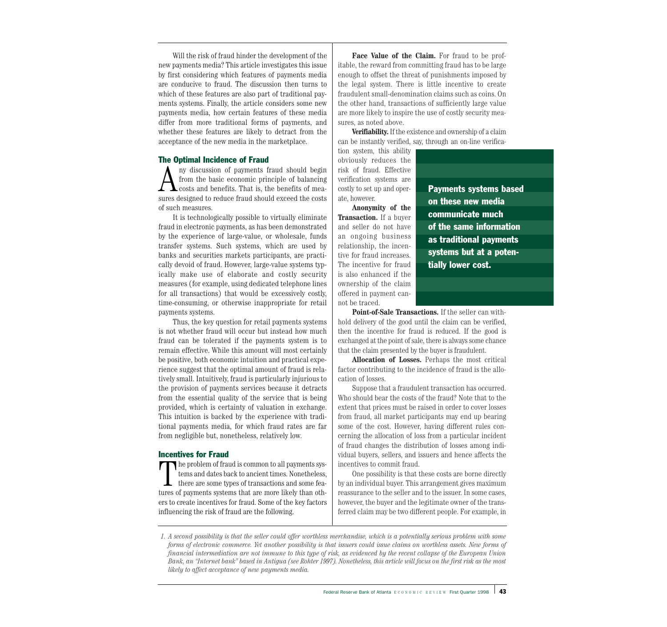Will the risk of fraud hinder the development of the new payments media? This article investigates this issue by first considering which features of payments media are conducive to fraud. The discussion then turns to which of these features are also part of traditional payments systems. Finally, the article considers some new payments media, how certain features of these media differ from more traditional forms of payments, and whether these features are likely to detract from the acceptance of the new media in the marketplace.

#### The Optimal Incidence of Fraud

A ny discussion of payments fraud should begin<br>from the basic economic principle of balancing<br>costs and benefits. That is, the benefits of mea-<br>sures decigned to reduce fraud should exceed the costs from the basic economic principle of balancing sures designed to reduce fraud should exceed the costs of such measures.

It is technologically possible to virtually eliminate fraud in electronic payments, as has been demonstrated by the experience of large-value, or wholesale, funds transfer systems. Such systems, which are used by banks and securities markets participants, are practically devoid of fraud. However, large-value systems typically make use of elaborate and costly security measures (for example, using dedicated telephone lines for all transactions) that would be excessively costly, time-consuming, or otherwise inappropriate for retail payments systems.

Thus, the key question for retail payments systems is not whether fraud will occur but instead how much fraud can be tolerated if the payments system is to remain effective. While this amount will most certainly be positive, both economic intuition and practical experience suggest that the optimal amount of fraud is relatively small. Intuitively, fraud is particularly injurious to the provision of payments services because it detracts from the essential quality of the service that is being provided, which is certainty of valuation in exchange. This intuition is backed by the experience with traditional payments media, for which fraud rates are far from negligible but, nonetheless, relatively low.

#### Incentives for Fraud

The problem of fraud is common to all payments systems and dates back to ancient times. Nonetheless, there are some types of transactions and some features of payments systems that are more likely than others to create incentives for fraud. Some of the key factors influencing the risk of fraud are the following.

**Face Value of the Claim.** For fraud to be profitable, the reward from committing fraud has to be large enough to offset the threat of punishments imposed by the legal system. There is little incentive to create fraudulent small-denomination claims such as coins. On the other hand, transactions of sufficiently large value are more likely to inspire the use of costly security measures, as noted above.

**Verifiability.**If the existence and ownership of a claim can be instantly verified, say, through an on-line verifica-

tion system, this ability obviously reduces the risk of fraud. Effective verification systems are costly to set up and operate, however.

**Anonymity of the Transaction.** If a buyer and seller do not have an ongoing business relationship, the incentive for fraud increases. The incentive for fraud is also enhanced if the ownership of the claim offered in payment cannot be traced.

Payments systems based on these new media communicate much of the same information as traditional payments systems but at a potentially lower cost.

**Point-of-Sale Transactions.** If the seller can withhold delivery of the good until the claim can be verified, then the incentive for fraud is reduced. If the good is exchanged at the point of sale, there is always some chance that the claim presented by the buyer is fraudulent.

**Allocation of Losses.** Perhaps the most critical factor contributing to the incidence of fraud is the allocation of losses.

Suppose that a fraudulent transaction has occurred. Who should bear the costs of the fraud? Note that to the extent that prices must be raised in order to cover losses from fraud, all market participants may end up bearing some of the cost. However, having different rules concerning the allocation of loss from a particular incident of fraud changes the distribution of losses among individual buyers, sellers, and issuers and hence affects the incentives to commit fraud.

One possibility is that these costs are borne directly by an individual buyer. This arrangement gives maximum reassurance to the seller and to the issuer. In some cases, however, the buyer and the legitimate owner of the transferred claim may be two different people. For example, in

*1. A second possibility is that the seller could offer worthless merchandise, which is a potentially serious problem with some forms of electronic commerce. Yet another possibility is that issuers could issue claims on worthless assets. New forms of financial intermediation are not immune to this type of risk, as evidenced by the recent collapse of the European Union Bank, an "Internet bank" based in Antigua (see Rohter 1997). Nonetheless, this article will focus on the first risk as the most likely to affect acceptance of new payments media.*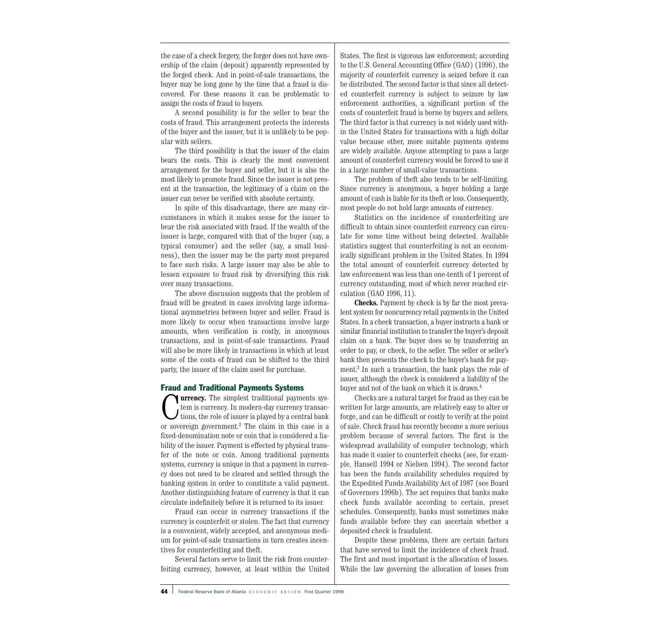the case of a check forgery, the forger does not have ownership of the claim (deposit) apparently represented by the forged check. And in point-of-sale transactions, the buyer may be long gone by the time that a fraud is discovered. For these reasons it can be problematic to assign the costs of fraud to buyers.

A second possibility is for the seller to bear the costs of fraud. This arrangement protects the interests of the buyer and the issuer, but it is unlikely to be popular with sellers.

The third possibility is that the issuer of the claim bears the costs. This is clearly the most convenient arrangement for the buyer and seller, but it is also the most likely to promote fraud. Since the issuer is not present at the transaction, the legitimacy of a claim on the issuer can never be verified with absolute certainty.

In spite of this disadvantage, there are many circumstances in which it makes sense for the issuer to bear the risk associated with fraud. If the wealth of the issuer is large, compared with that of the buyer (say, a typical consumer) and the seller (say, a small business), then the issuer may be the party most prepared to face such risks. A large issuer may also be able to lessen exposure to fraud risk by diversifying this risk over many transactions.

The above discussion suggests that the problem of fraud will be greatest in cases involving large informational asymmetries between buyer and seller. Fraud is more likely to occur when transactions involve large amounts, when verification is costly, in anonymous transactions, and in point-of-sale transactions. Fraud will also be more likely in transactions in which at least some of the costs of fraud can be shifted to the third party, the issuer of the claim used for purchase.

# Fraud and Traditional Payments Systems

**Turrency.** The simplest traditional payments system is currency. In modern-day currency transactions, the role of issuer is played by a central bank or sovereign government.<sup>2</sup> The claim in this case is a fixed-denomination note or coin that is considered a liability of the issuer. Payment is effected by physical transfer of the note or coin. Among traditional payments systems, currency is unique in that a payment in currency does not need to be cleared and settled through the banking system in order to constitute a valid payment. Another distinguishing feature of currency is that it can circulate indefinitely before it is returned to its issuer.

Fraud can occur in currency transactions if the currency is counterfeit or stolen. The fact that currency is a convenient, widely accepted, and anonymous medium for point-of-sale transactions in turn creates incentives for counterfeiting and theft.

Several factors serve to limit the risk from counterfeiting currency, however, at least within the United States. The first is vigorous law enforcement; according to the U.S. General Accounting Office (GAO) (1996), the majority of counterfeit currency is seized before it can be distributed. The second factor is that since all detected counterfeit currency is subject to seizure by law enforcement authorities, a significant portion of the costs of counterfeit fraud is borne by buyers and sellers. The third factor is that currency is not widely used within the United States for transactions with a high dollar value because other, more suitable payments systems are widely available. Anyone attempting to pass a large amount of counterfeit currency would be forced to use it in a large number of small-value transactions.

The problem of theft also tends to be self-limiting. Since currency is anonymous, a buyer holding a large amount of cash is liable for its theft or loss. Consequently, most people do not hold large amounts of currency.

Statistics on the incidence of counterfeiting are difficult to obtain since counterfeit currency can circulate for some time without being detected. Available statistics suggest that counterfeiting is not an economically significant problem in the United States. In 1994 the total amount of counterfeit currency detected by law enforcement was less than one-tenth of 1 percent of currency outstanding, most of which never reached circulation (GAO 1996, 11).

**Checks.** Payment by check is by far the most prevalent system for noncurrency retail payments in the United States. In a check transaction, a buyer instructs a bank or similar financial institution to transfer the buyer's deposit claim on a bank. The buyer does so by transferring an order to pay, or check, to the seller. The seller or seller's bank then presents the check to the buyer's bank for payment.3 In such a transaction, the bank plays the role of issuer, although the check is considered a liability of the buyer and not of the bank on which it is drawn.4

Checks are a natural target for fraud as they can be written for large amounts, are relatively easy to alter or forge, and can be difficult or costly to verify at the point of sale. Check fraud has recently become a more serious problem because of several factors. The first is the widespread availability of computer technology, which has made it easier to counterfeit checks (see, for example, Hansell 1994 or Nielsen 1994). The second factor has been the funds availability schedules required by the Expedited Funds Availability Act of 1987 (see Board of Governors 1996b). The act requires that banks make check funds available according to certain, preset schedules. Consequently, banks must sometimes make funds available before they can ascertain whether a deposited check is fraudulent.

Despite these problems, there are certain factors that have served to limit the incidence of check fraud. The first and most important is the allocation of losses. While the law governing the allocation of losses from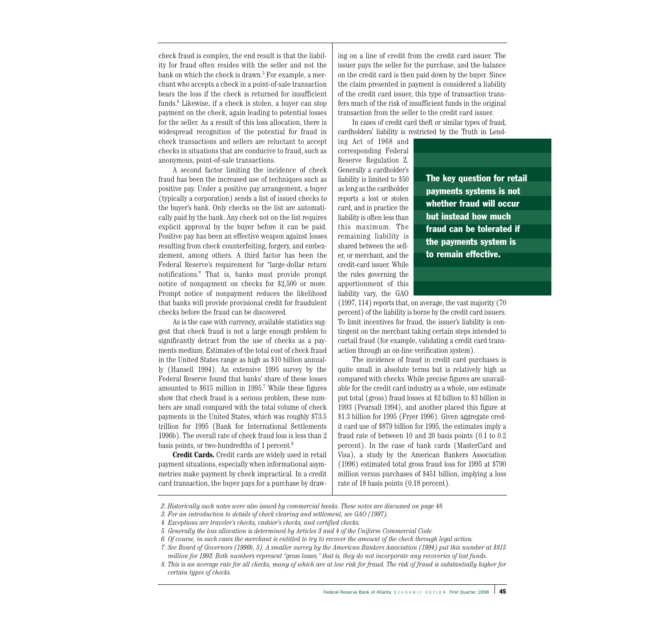check fraud is complex, the end result is that the liability for fraud often resides with the seller and not the bank on which the check is drawn.<sup>5</sup> For example, a merchant who accepts a check in a point-of-sale transaction bears the loss if the check is returned for insufficient funds.6 Likewise, if a check is stolen, a buyer can stop payment on the check, again leading to potential losses for the seller. As a result of this loss allocation, there is widespread recognition of the potential for fraud in check transactions and sellers are reluctant to accept checks in situations that are conducive to fraud, such as anonymous, point-of-sale transactions.

A second factor limiting the incidence of check fraud has been the increased use of techniques such as positive pay. Under a positive pay arrangement, a buyer (typically a corporation) sends a list of issued checks to the buyer's bank. Only checks on the list are automatically paid by the bank. Any check not on the list requires explicit approval by the buyer before it can be paid. Positive pay has been an effective weapon against losses resulting from check counterfeiting, forgery, and embezzlement, among others. A third factor has been the Federal Reserve's requirement for "large-dollar return notifications." That is, banks must provide prompt notice of nonpayment on checks for \$2,500 or more. Prompt notice of nonpayment reduces the likelihood that banks will provide provisional credit for fraudulent checks before the fraud can be discovered.

As is the case with currency, available statistics suggest that check fraud is not a large enough problem to significantly detract from the use of checks as a payments medium. Estimates of the total cost of check fraud in the United States range as high as \$10 billion annually (Hansell 1994). An extensive 1995 survey by the Federal Reserve found that banks' share of these losses amounted to \$615 million in 1995.7 While these figures show that check fraud is a serious problem, these numbers are small compared with the total volume of check payments in the United States, which was roughly \$73.5 trillion for 1995 (Bank for International Settlements 1996b). The overall rate of check fraud loss is less than 2 basis points, or two-hundredths of 1 percent.8

**Credit Cards.** Credit cards are widely used in retail payment situations, especially when informational asymmetries make payment by check impractical. In a credit card transaction, the buyer pays for a purchase by drawing on a line of credit from the credit card issuer. The issuer pays the seller for the purchase, and the balance on the credit card is then paid down by the buyer. Since the claim presented in payment is considered a liability of the credit card issuer, this type of transaction transfers much of the risk of insufficient funds in the original transaction from the seller to the credit card issuer.

In cases of credit card theft or similar types of fraud, cardholders' liability is restricted by the Truth in Lend-

ing Act of 1968 and corresponding Federal Reserve Regulation Z. Generally a cardholder's liability is limited to \$50 as long as the cardholder reports a lost or stolen card, and in practice the liability is often less than this maximum. The remaining liability is shared between the seller, or merchant, and the credit-card issuer. While the rules governing the apportionment of this liability vary, the GAO

The key question for retail payments systems is not whether fraud will occur but instead how much fraud can be tolerated if the payments system is to remain effective.

(1997, 114) reports that, on average, the vast majority (70 percent) of the liability is borne by the credit card issuers. To limit incentives for fraud, the issuer's liability is contingent on the merchant taking certain steps intended to curtail fraud (for example, validating a credit card transaction through an on-line verification system).

The incidence of fraud in credit card purchases is quite small in absolute terms but is relatively high as compared with checks. While precise figures are unavailable for the credit card industry as a whole, one estimate put total (gross) fraud losses at \$2 billion to \$3 billion in 1993 (Pearsall 1994), and another placed this figure at \$1.3 billion for 1995 (Fryer 1996). Given aggregate credit card use of \$879 billion for 1995, the estimates imply a fraud rate of between 10 and 20 basis points (0.1 to 0.2 percent). In the case of bank cards (MasterCard and Visa), a study by the American Bankers Association (1996) estimated total gross fraud loss for 1995 at \$790 million versus purchases of \$451 billion, implying a loss rate of 18 basis points (0.18 percent).

*<sup>2.</sup> Historically such notes were also issued by commercial banks. These notes are discussed on page 48.*

*<sup>3.</sup> For an introduction to details of check clearing and settlement, see GAO (1997).*

*<sup>4.</sup> Exceptions are traveler's checks, cashier's checks, and certified checks.*

*<sup>5.</sup> Generally the loss allocation is determined by Articles 3 and 4 of the Uniform Commercial Code.*

*<sup>6.</sup> Of course, in such cases the merchant is entitled to try to recover the amount of the check through legal action.*

*<sup>7.</sup> See Board of Governors (1996b, 5). A smaller survey by the American Bankers Association (1994) put this number at \$815 million for 1993. Both numbers represent "gross losses," that is, they do not incorporate any recoveries of lost funds.*

*<sup>8.</sup> This is an average rate for all checks, many of which are at low risk for fraud. The risk of fraud is substantially higher for certain types of checks.*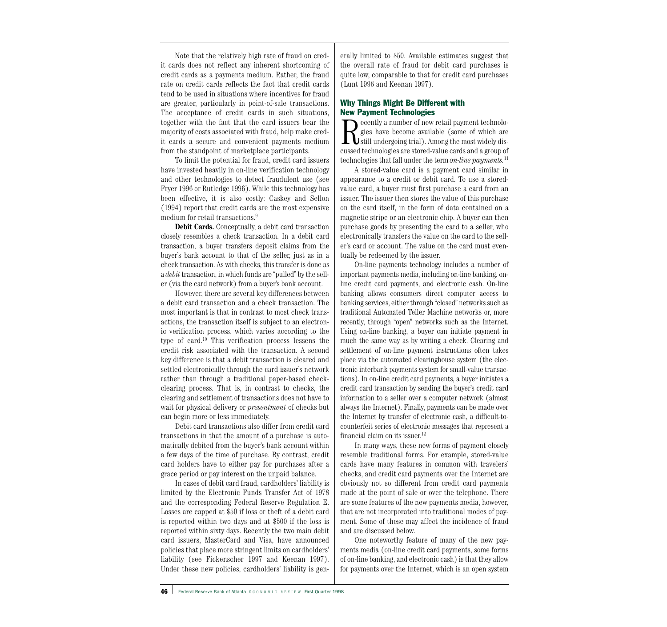Note that the relatively high rate of fraud on credit cards does not reflect any inherent shortcoming of credit cards as a payments medium. Rather, the fraud rate on credit cards reflects the fact that credit cards tend to be used in situations where incentives for fraud are greater, particularly in point-of-sale transactions. The acceptance of credit cards in such situations, together with the fact that the card issuers bear the majority of costs associated with fraud, help make credit cards a secure and convenient payments medium from the standpoint of marketplace participants.

To limit the potential for fraud, credit card issuers have invested heavily in on-line verification technology and other technologies to detect fraudulent use (see Fryer 1996 or Rutledge 1996). While this technology has been effective, it is also costly: Caskey and Sellon (1994) report that credit cards are the most expensive medium for retail transactions.<sup>9</sup>

**Debit Cards.** Conceptually, a debit card transaction closely resembles a check transaction. In a debit card transaction, a buyer transfers deposit claims from the buyer's bank account to that of the seller, just as in a check transaction. As with checks, this transfer is done as a *debit* transaction, in which funds are "pulled" by the seller (via the card network) from a buyer's bank account.

However, there are several key differences between a debit card transaction and a check transaction. The most important is that in contrast to most check transactions, the transaction itself is subject to an electronic verification process, which varies according to the type of card.10 This verification process lessens the credit risk associated with the transaction. A second key difference is that a debit transaction is cleared and settled electronically through the card issuer's network rather than through a traditional paper-based checkclearing process. That is, in contrast to checks, the clearing and settlement of transactions does not have to wait for physical delivery or *presentment* of checks but can begin more or less immediately.

Debit card transactions also differ from credit card transactions in that the amount of a purchase is automatically debited from the buyer's bank account within a few days of the time of purchase. By contrast, credit card holders have to either pay for purchases after a grace period or pay interest on the unpaid balance.

In cases of debit card fraud, cardholders' liability is limited by the Electronic Funds Transfer Act of 1978 and the corresponding Federal Reserve Regulation E. Losses are capped at \$50 if loss or theft of a debit card is reported within two days and at \$500 if the loss is reported within sixty days. Recently the two main debit card issuers, MasterCard and Visa, have announced policies that place more stringent limits on cardholders' liability (see Fickenscher 1997 and Keenan 1997). Under these new policies, cardholders' liability is generally limited to \$50. Available estimates suggest that the overall rate of fraud for debit card purchases is quite low, comparable to that for credit card purchases (Lunt 1996 and Keenan 1997).

# Why Things Might Be Different with New Payment Technologies

Recently a number of new retail payment technologies have become available (some of which are<br>still undergoing trial). Among the most widely dis-<br>gussed technologies are stared value eards and a group of gies have become available (some of which are cussed technologies are stored-value cards and a group of technologies that fall under the term *on-line payments.*<sup>11</sup>

A stored-value card is a payment card similar in appearance to a credit or debit card. To use a storedvalue card, a buyer must first purchase a card from an issuer. The issuer then stores the value of this purchase on the card itself, in the form of data contained on a magnetic stripe or an electronic chip. A buyer can then purchase goods by presenting the card to a seller, who electronically transfers the value on the card to the seller's card or account. The value on the card must eventually be redeemed by the issuer.

On-line payments technology includes a number of important payments media, including on-line banking, online credit card payments, and electronic cash. On-line banking allows consumers direct computer access to banking services, either through "closed" networks such as traditional Automated Teller Machine networks or, more recently, through "open" networks such as the Internet. Using on-line banking, a buyer can initiate payment in much the same way as by writing a check. Clearing and settlement of on-line payment instructions often takes place via the automated clearinghouse system (the electronic interbank payments system for small-value transactions). In on-line credit card payments, a buyer initiates a credit card transaction by sending the buyer's credit card information to a seller over a computer network (almost always the Internet). Finally, payments can be made over the Internet by transfer of electronic cash, a difficult-tocounterfeit series of electronic messages that represent a financial claim on its issuer. 12

In many ways, these new forms of payment closely resemble traditional forms. For example, stored-value cards have many features in common with travelers' checks, and credit card payments over the Internet are obviously not so different from credit card payments made at the point of sale or over the telephone. There are some features of the new payments media, however, that are not incorporated into traditional modes of payment. Some of these may affect the incidence of fraud and are discussed below.

One noteworthy feature of many of the new payments media (on-line credit card payments, some forms of on-line banking, and electronic cash) is that they allow for payments over the Internet, which is an open system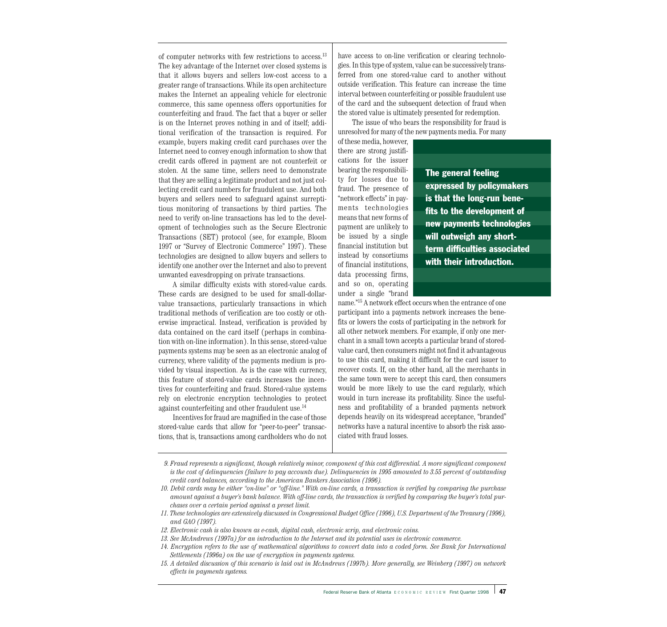of computer networks with few restrictions to access.13 The key advantage of the Internet over closed systems is that it allows buyers and sellers low-cost access to a greater range of transactions. While its open architecture makes the Internet an appealing vehicle for electronic commerce, this same openness offers opportunities for counterfeiting and fraud. The fact that a buyer or seller is on the Internet proves nothing in and of itself; additional verification of the transaction is required. For example, buyers making credit card purchases over the Internet need to convey enough information to show that credit cards offered in payment are not counterfeit or stolen. At the same time, sellers need to demonstrate that they are selling a legitimate product and not just collecting credit card numbers for fraudulent use. And both buyers and sellers need to safeguard against surreptitious monitoring of transactions by third parties. The need to verify on-line transactions has led to the development of technologies such as the Secure Electronic Transactions (SET) protocol (see, for example, Bloom 1997 or "Survey of Electronic Commerce" 1997). These technologies are designed to allow buyers and sellers to identify one another over the Internet and also to prevent unwanted eavesdropping on private transactions.

A similar difficulty exists with stored-value cards. These cards are designed to be used for small-dollarvalue transactions, particularly transactions in which traditional methods of verification are too costly or otherwise impractical. Instead, verification is provided by data contained on the card itself (perhaps in combination with on-line information). In this sense, stored-value payments systems may be seen as an electronic analog of currency, where validity of the payments medium is provided by visual inspection. As is the case with currency, this feature of stored-value cards increases the incentives for counterfeiting and fraud. Stored-value systems rely on electronic encryption technologies to protect against counterfeiting and other fraudulent use.14

Incentives for fraud are magnified in the case of those stored-value cards that allow for "peer-to-peer" transactions, that is, transactions among cardholders who do not have access to on-line verification or clearing technologies. In this type of system, value can be successively transferred from one stored-value card to another without outside verification. This feature can increase the time interval between counterfeiting or possible fraudulent use of the card and the subsequent detection of fraud when the stored value is ultimately presented for redemption.

The issue of who bears the responsibility for fraud is unresolved for many of the new payments media. For many

of these media, however, there are strong justifications for the issuer bearing the responsibility for losses due to fraud. The presence of "network effects" in payments technologies means that new forms of payment are unlikely to be issued by a single financial institution but instead by consortiums of financial institutions, data processing firms, and so on, operating under a single "brand

The general feeling expressed by policymakers is that the long-run benefits to the development of new payments technologies will outweigh any shortterm difficulties associated with their introduction.

name."15 A network effect occurs when the entrance of one participant into a payments network increases the benefits or lowers the costs of participating in the network for all other network members. For example, if only one merchant in a small town accepts a particular brand of storedvalue card, then consumers might not find it advantageous to use this card, making it difficult for the card issuer to recover costs. If, on the other hand, all the merchants in the same town were to accept this card, then consumers would be more likely to use the card regularly, which would in turn increase its profitability. Since the usefulness and profitability of a branded payments network depends heavily on its widespread acceptance, "branded" networks have a natural incentive to absorb the risk associated with fraud losses.

- *9. Fraud represents a significant, though relatively minor, component of this cost differential. A more significant component is the cost of delinquencies (failure to pay accounts due). Delinquencies in 1995 amounted to 3.55 percent of outstanding credit card balances, according to the American Bankers Association (1996).*
- *10. Debit cards may be either "on-line" or "off-line." With on-line cards, a transaction is verified by comparing the purchase amount against a buyer's bank balance. With off-line cards, the transaction is verified by comparing the buyer's total purchases over a certain period against a preset limit.*
- *11. These technologies are extensively discussed in Congressional Budget Office (1996), U.S. Department of the Treasury (1996), and GAO (1997).*
- *12. Electronic cash is also known as e-cash, digital cash, electronic scrip, and electronic coins.*
- *13. See McAndrews (1997a) for an introduction to the Internet and its potential uses in electronic commerce.*
- *14. Encryption refers to the use of mathematical algorithms to convert data into a coded form. See Bank for International Settlements (1996a) on the use of encryption in payments systems.*
- *15. A detailed discussion of this scenario is laid out in McAndrews (1997b). More generally, see Weinberg (1997) on network effects in payments systems.*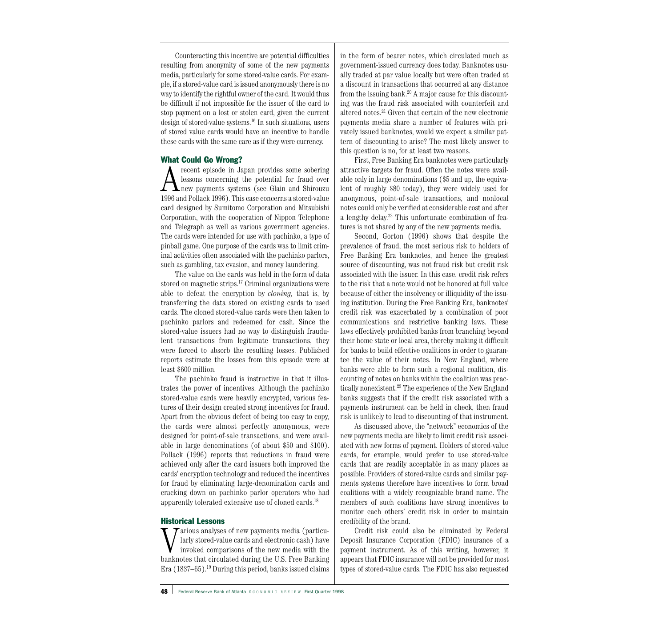Counteracting this incentive are potential difficulties resulting from anonymity of some of the new payments media, particularly for some stored-value cards. For example, if a stored-value card is issued anonymously there is no way to identify the rightful owner of the card. It would thus be difficult if not impossible for the issuer of the card to stop payment on a lost or stolen card, given the current design of stored-value systems.16 In such situations, users of stored value cards would have an incentive to handle these cards with the same care as if they were currency.

# What Could Go Wrong?

A recent episode in Japan provides some sobering<br>hext lessons concerning the potential for fraud over<br>1996 and Pollack 1996). This asso concerns a stered value lessons concerning the potential for fraud over 1996 and Pollack 1996). This case concerns a stored-value card designed by Sumitomo Corporation and Mitsubishi Corporation, with the cooperation of Nippon Telephone and Telegraph as well as various government agencies. The cards were intended for use with pachinko, a type of pinball game. One purpose of the cards was to limit criminal activities often associated with the pachinko parlors, such as gambling, tax evasion, and money laundering.

The value on the cards was held in the form of data stored on magnetic strips.<sup>17</sup> Criminal organizations were able to defeat the encryption by *cloning,* that is, by transferring the data stored on existing cards to used cards. The cloned stored-value cards were then taken to pachinko parlors and redeemed for cash. Since the stored-value issuers had no way to distinguish fraudulent transactions from legitimate transactions, they were forced to absorb the resulting losses. Published reports estimate the losses from this episode were at least \$600 million.

The pachinko fraud is instructive in that it illustrates the power of incentives. Although the pachinko stored-value cards were heavily encrypted, various features of their design created strong incentives for fraud. Apart from the obvious defect of being too easy to copy, the cards were almost perfectly anonymous, were designed for point-of-sale transactions, and were available in large denominations (of about \$50 and \$100). Pollack (1996) reports that reductions in fraud were achieved only after the card issuers both improved the cards' encryption technology and reduced the incentives for fraud by eliminating large-denomination cards and cracking down on pachinko parlor operators who had apparently tolerated extensive use of cloned cards.<sup>18</sup>

# Historical Lessons

Various analyses of new payments media (particularly stored-value cards and electronic cash) have invoked comparisons of the new media with the banknotes that circulated during the U.S. Free Banking Era (1837–65).19 During this period, banks issued claims in the form of bearer notes, which circulated much as government-issued currency does today. Banknotes usually traded at par value locally but were often traded at a discount in transactions that occurred at any distance from the issuing bank. $20$  A major cause for this discounting was the fraud risk associated with counterfeit and altered notes.21 Given that certain of the new electronic payments media share a number of features with privately issued banknotes, would we expect a similar pattern of discounting to arise? The most likely answer to this question is no, for at least two reasons.

First, Free Banking Era banknotes were particularly attractive targets for fraud. Often the notes were available only in large denominations (\$5 and up, the equivalent of roughly \$80 today), they were widely used for anonymous, point-of-sale transactions, and nonlocal notes could only be verified at considerable cost and after a lengthy delay. <sup>22</sup> This unfortunate combination of features is not shared by any of the new payments media.

Second, Gorton (1996) shows that despite the prevalence of fraud, the most serious risk to holders of Free Banking Era banknotes, and hence the greatest source of discounting, was not fraud risk but credit risk associated with the issuer. In this case, credit risk refers to the risk that a note would not be honored at full value because of either the insolvency or illiquidity of the issuing institution. During the Free Banking Era, banknotes' credit risk was exacerbated by a combination of poor communications and restrictive banking laws. These laws effectively prohibited banks from branching beyond their home state or local area, thereby making it difficult for banks to build effective coalitions in order to guarantee the value of their notes. In New England, where banks were able to form such a regional coalition, discounting of notes on banks within the coalition was practically nonexistent.<sup>23</sup> The experience of the New England banks suggests that if the credit risk associated with a payments instrument can be held in check, then fraud risk is unlikely to lead to discounting of that instrument.

As discussed above, the "network" economics of the new payments media are likely to limit credit risk associated with new forms of payment. Holders of stored-value cards, for example, would prefer to use stored-value cards that are readily acceptable in as many places as possible. Providers of stored-value cards and similar payments systems therefore have incentives to form broad coalitions with a widely recognizable brand name. The members of such coalitions have strong incentives to monitor each others' credit risk in order to maintain credibility of the brand.

Credit risk could also be eliminated by Federal Deposit Insurance Corporation (FDIC) insurance of a payment instrument. As of this writing, however, it appears that FDIC insurance will not be provided for most types of stored-value cards. The FDIC has also requested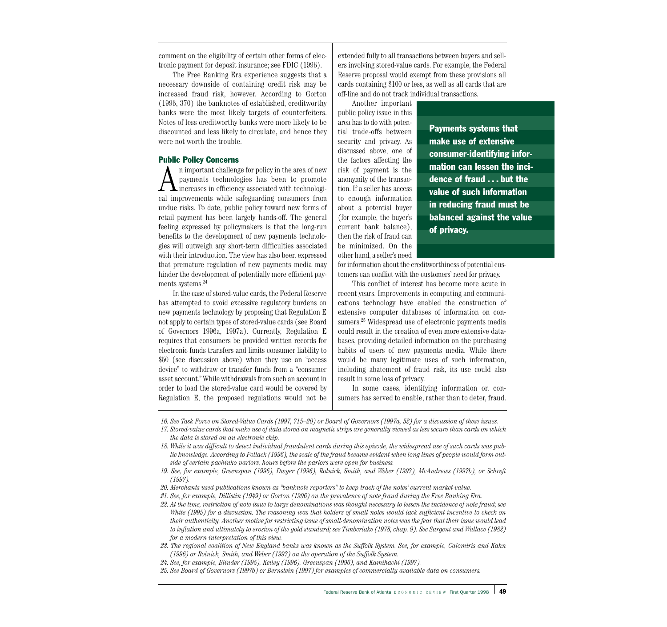comment on the eligibility of certain other forms of electronic payment for deposit insurance; see FDIC (1996).

The Free Banking Era experience suggests that a necessary downside of containing credit risk may be increased fraud risk, however. According to Gorton (1996, 370) the banknotes of established, creditworthy banks were the most likely targets of counterfeiters. Notes of less creditworthy banks were more likely to be discounted and less likely to circulate, and hence they were not worth the trouble.

#### Public Policy Concerns

An important challenge for policy in the area of new<br>payments technologies has been to promote<br>increases in efficiency associated with technologi-<br>cal improvements while esfocuarding consumers from payments technologies has been to promote cal improvements while safeguarding consumers from undue risks. To date, public policy toward new forms of retail payment has been largely hands-off. The general feeling expressed by policymakers is that the long-run benefits to the development of new payments technologies will outweigh any short-term difficulties associated with their introduction. The view has also been expressed that premature regulation of new payments media may hinder the development of potentially more efficient payments systems.<sup>24</sup>

In the case of stored-value cards, the Federal Reserve has attempted to avoid excessive regulatory burdens on new payments technology by proposing that Regulation E not apply to certain types of stored-value cards (see Board of Governors 1996a, 1997a). Currently, Regulation E requires that consumers be provided written records for electronic funds transfers and limits consumer liability to \$50 (see discussion above) when they use an "access device" to withdraw or transfer funds from a "consumer asset account." While withdrawals from such an account in order to load the stored-value card would be covered by Regulation E, the proposed regulations would not be extended fully to all transactions between buyers and sellers involving stored-value cards. For example, the Federal Reserve proposal would exempt from these provisions all cards containing \$100 or less, as well as all cards that are off-line and do not track individual transactions.

Another important public policy issue in this area has to do with potential trade-offs between security and privacy. As discussed above, one of the factors affecting the risk of payment is the anonymity of the transaction. If a seller has access to enough information about a potential buyer (for example, the buyer's current bank balance), then the risk of fraud can be minimized. On the other hand, a seller's need

Payments systems that make use of extensive consumer-identifying information can lessen the incidence of fraud . . . but the value of such information in reducing fraud must be balanced against the value of privacy.

for information about the creditworthiness of potential customers can conflict with the customers' need for privacy.

This conflict of interest has become more acute in recent years. Improvements in computing and communications technology have enabled the construction of extensive computer databases of information on consumers.25 Widespread use of electronic payments media could result in the creation of even more extensive databases, providing detailed information on the purchasing habits of users of new payments media. While there would be many legitimate uses of such information, including abatement of fraud risk, its use could also result in some loss of privacy.

In some cases, identifying information on consumers has served to enable, rather than to deter, fraud.

*16. See Task Force on Stored-Value Cards (1997, 715–20) or Board of Governors (1997a, 52) for a discussion of these issues.*

- *17. Stored-value cards that make use of data stored on magnetic strips are generally viewed as less secure than cards on which the data is stored on an electronic chip.*
- *18. While it was difficult to detect individual fraudulent cards during this episode, the widespread use of such cards was public knowledge. According to Pollack (1996), the scale of the fraud became evident when long lines of people would form outside of certain pachinko parlors, hours before the parlors were open for business.*
- *19. See, for example, Greenspan (1996), Dwyer (1996), Rolnick, Smith, and Weber (1997), McAndrews (1997b), or Schreft (1997).*
- *20. Merchants used publications known as "banknote reporters" to keep track of the notes' current market value.*
- *21. See, for example, Dillistin (1949) or Gorton (1996) on the prevalence of note fraud during the Free Banking Era.*
- *22. At the time, restriction of note issue to large denominations was thought necessary to lessen the incidence of note fraud; see White (1995) for a discussion. The reasoning was that holders of small notes would lack sufficient incentive to check on their authenticity. Another motive for restricting issue of small-denomination notes was the fear that their issue would lead to inflation and ultimately to erosion of the gold standard; see Timberlake (1978, chap. 9). See Sargent and Wallace (1982) for a modern interpretation of this view.*
- *23. The regional coalition of New England banks was known as the Suffolk System. See, for example, Calomiris and Kahn (1996) or Rolnick, Smith, and Weber (1997) on the operation of the Suffolk System.*
- *24. See, for example, Blinder (1995), Kelley (1996), Greenspan (1996), and Kamihachi (1997).*
- *25. See Board of Governors (1997b) or Bernstein (1997) for examples of commercially available data on consumers.*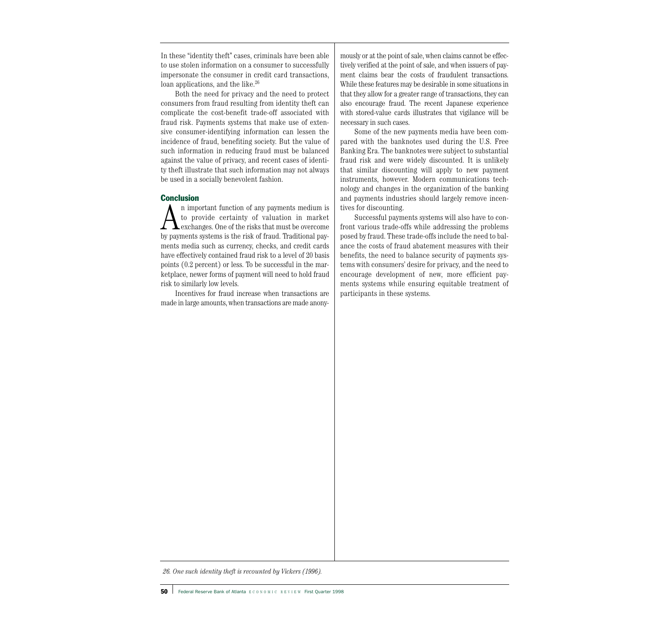In these "identity theft" cases, criminals have been able to use stolen information on a consumer to successfully impersonate the consumer in credit card transactions, loan applications, and the like.<sup>26</sup>

Both the need for privacy and the need to protect consumers from fraud resulting from identity theft can complicate the cost-benefit trade-off associated with fraud risk. Payments systems that make use of extensive consumer-identifying information can lessen the incidence of fraud, benefiting society. But the value of such information in reducing fraud must be balanced against the value of privacy, and recent cases of identity theft illustrate that such information may not always be used in a socially benevolent fashion.

# **Conclusion**

An important function of any payments medium is to provide certainty of valuation in market exchanges. One of the risks that must be overcome by payments systems is the risk of fraud. Traditional payments media such as currency, checks, and credit cards have effectively contained fraud risk to a level of 20 basis points (0.2 percent) or less. To be successful in the marketplace, newer forms of payment will need to hold fraud risk to similarly low levels.

Incentives for fraud increase when transactions are made in large amounts, when transactions are made anonymously or at the point of sale, when claims cannot be effectively verified at the point of sale, and when issuers of payment claims bear the costs of fraudulent transactions. While these features may be desirable in some situations in that they allow for a greater range of transactions, they can also encourage fraud. The recent Japanese experience with stored-value cards illustrates that vigilance will be necessary in such cases.

Some of the new payments media have been compared with the banknotes used during the U.S. Free Banking Era. The banknotes were subject to substantial fraud risk and were widely discounted. It is unlikely that similar discounting will apply to new payment instruments, however. Modern communications technology and changes in the organization of the banking and payments industries should largely remove incentives for discounting.

Successful payments systems will also have to confront various trade-offs while addressing the problems posed by fraud. These trade-offs include the need to balance the costs of fraud abatement measures with their benefits, the need to balance security of payments systems with consumers' desire for privacy, and the need to encourage development of new, more efficient payments systems while ensuring equitable treatment of participants in these systems.

*26. One such identity theft is recounted by Vickers (1996).*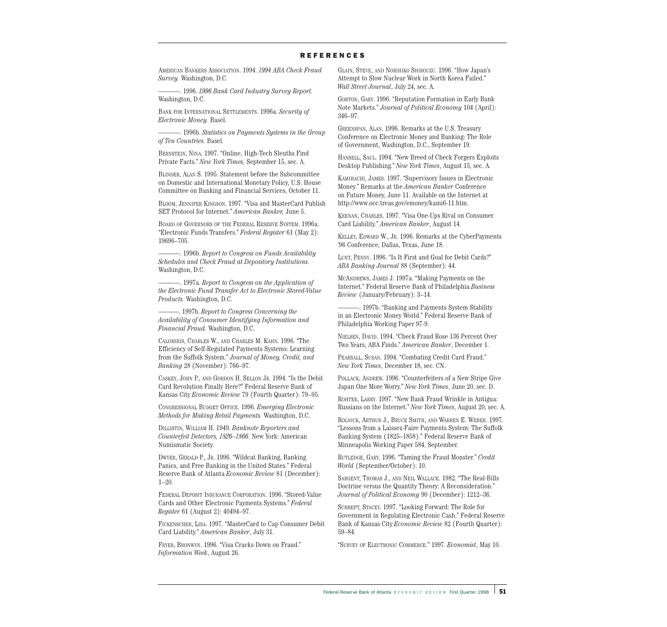#### **REFERENCES**

AMERICAN BANKERS ASSOCIATION. 1994. *1994 ABA Check Fraud Survey.* Washington, D.C.

———. 1996. *1996 Bank Card Industry Survey Report.* Washington, D.C.

BANK FOR INTERNATIONAL SETTLEMENTS. 1996a. *Security of Electronic Money.* Basel.

———. 1996b. *Statistics on Payments Systems in the Group of Ten Countries.* Basel.

BERNSTEIN, NINA. 1997. "Online, High-Tech Sleuths Find Private Facts." *New York Times,* September 15, sec. A.

BLINDER, ALAN S. 1995. Statement before the Subcommittee on Domestic and International Monetary Policy, U.S. House Committee on Banking and Financial Services, October 11.

BLOOM, JENNIFER KINGSON. 1997. "Visa and MasterCard Publish SET Protocol for Internet." *American Banker,* June 5.

BOARD OF GOVERNORS OF THE FEDERAL RESERVE SYSTEM. 1996a. "Electronic Funds Transfers." *Federal Register* 61 (May 2): 19696–705.

———. 1996b. *Report to Congress on Funds Availability Schedules and Check Fraud at Depository Institutions.* Washington, D.C.

———. 1997a. *Report to Congress on the Application of the Electronic Fund Transfer Act to Electronic Stored-Value Products.* Washington, D.C.

———. 1997b. *Report to Congress Concerning the Availability of Consumer Identifying Information and Financial Fraud.* Washington, D.C.

CALOMIRIS, CHARLES W., AND CHARLES M. KAHN. 1996. "The Efficiency of Self-Regulated Payments Systems: Learning from the Suffolk System." *Journal of Money, Credit, and Banking* 28 (November): 766–97.

CASKEY, JOHN P., AND GORDON H. SELLON JR. 1994. "Is the Debit Card Revolution Finally Here?" Federal Reserve Bank of Kansas City *Economic Review* 79 (Fourth Quarter): 79–95.

CONGRESSIONAL BUDGET OFFICE. 1996. *Emerging Electronic Methods for Making Retail Payments.* Washington, D.C.

DILLISTIN, WILLIAM H. 1949. *Banknote Reporters and Counterfeit Detectors, 1826–1866.* New York: American Numismatic Society.

DWYER, GERALD P., JR. 1996. "Wildcat Banking, Banking Panics, and Free Banking in the United States." Federal Reserve Bank of Atlanta *Economic Review* 81 (December): 1–20.

FEDERAL DEPOSIT INSURANCE CORPORATION. 1996. "Stored-Value Cards and Other Electronic Payments Systems." *Federal Register* 61 (August 2): 40494–97.

FICKENSCHER, LISA. 1997. "MasterCard to Cap Consumer Debit Card Liability." *American Banker*, July 31.

FRYER, BRONWYN. 1996. "Visa Cracks Down on Fraud." *Information Week*, August 26.

GLAIN, STEVE, AND NORIHIKO SHIROUZU. 1996. "How Japan's Attempt to Slow Nuclear Work in North Korea Failed." *Wall Street Journal*, July 24, sec. A.

GORTON, GARY. 1996. "Reputation Formation in Early Bank Note Markets." *Journal of Political Economy* 104 (April): 346–97.

GREENSPAN, ALAN. 1996. Remarks at the U.S. Treasury Conference on Electronic Money and Banking: The Role of Government, Washington, D.C., September 19.

HANSELL, SAUL. 1994. "New Breed of Check Forgers Exploits Desktop Publishing." *New York Times*, August 15, sec. A.

KAMIHACHI, JAMES. 1997. "Supervisory Issues in Electronic Money." Remarks at the *American Banker* Conference on Future Money, June 11. Available on the Internet at http://www.occ.treas.gov/emoney/kami6-11.htm.

KEENAN, CHARLES. 1997. "Visa One-Ups Rival on Consumer Card Liability." *American Banker*, August 14.

KELLEY, EDWARD W., JR. 1996. Remarks at the CyberPayments '96 Conference, Dallas, Texas, June 18.

LUNT, PENNY. 1996. "Is It First and Goal for Debit Cards?" *ABA Banking Journal* 88 (September): 44.

MCANDREWS, JAMES J. 1997a. "Making Payments on the Internet." Federal Reserve Bank of Philadelphia *Business Review* (January/February): 3–14.

-, 1997b. "Banking and Payments System Stability in an Electronic Money World." Federal Reserve Bank of Philadelphia Working Paper 97-9.

NIELSEN, DAVID. 1994. "Check Fraud Rose 136 Percent Over Two Years, ABA Finds." *American Banker*, December 1.

PEARSALL, SUSAN. 1994. "Combating Credit Card Fraud." *New York Times*, December 18, sec. CN.

POLLACK, ANDREW. 1996. "Counterfeiters of a New Stripe Give Japan One More Worry." *New York Times*, June 20, sec. D.

ROHTER, LARRY. 1997. "New Bank Fraud Wrinkle in Antigua: Russians on the Internet." *New York Times*, August 20, sec. A.

ROLNICK, ARTHUR J., BRUCE SMITH, AND WARREN E. WEBER. 1997. "Lessons from a Laissez-Faire Payments System: The Suffolk Banking System (1825–1858)." Federal Reserve Bank of Minneapolis Working Paper 584, September.

RUTLEDGE, GARY. 1996. "Taming the Fraud Monster." *Credit World* (September/October): 10.

SARGENT, THOMAS J., AND NEIL WALLACE. 1982. "The Real-Bills Doctrine versus the Quantity Theory: A Reconsideration." *Journal of Political Economy* 90 (December): 1212–36.

SCHREFT, STACEY. 1997. "Looking Forward: The Role for Government in Regulating Electronic Cash." Federal Reserve Bank of Kansas City *Economic Review* 82 (Fourth Quarter): 59–84.

"SURVEY OF ELECTRONIC COMMERCE." 1997. *Economist*, May 10.